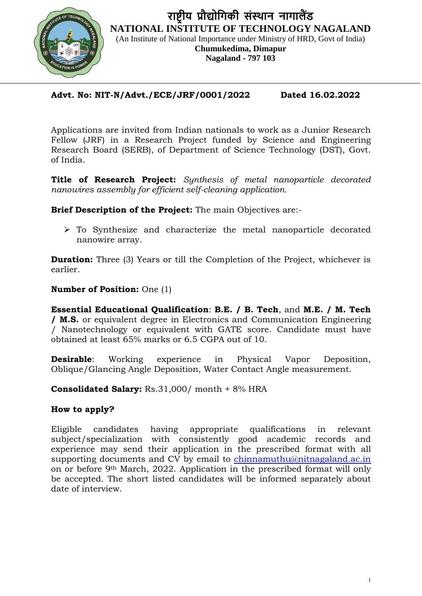

## **Advt. No: NIT-N/Advt./ECE/JRF/0001/2022 Dated 16.02.2022**

Applications are invited from Indian nationals to work as a Junior Research Fellow (JRF) in a Research Project funded by Science and Engineering Research Board (SERB), of Department of Science Technology (DST), Govt. of India.

**Title of Research Project:** *Synthesis of metal nanoparticle decorated nanowires assembly for efficient self-cleaning application.*

**Brief Description of the Project:** The main Objectives are:-

 To Synthesize and characterize the metal nanoparticle decorated nanowire array.

**Duration:** Three (3) Years or till the Completion of the Project, whichever is earlier.

### **Number of Position:** One (1)

**Essential Educational Qualification**: **B.E. / B. Tech**, and **M.E. / M. Tech / M.S.** or equivalent degree in Electronics and Communication Engineering / Nanotechnology or equivalent with GATE score. Candidate must have obtained at least 65% marks or 6.5 CGPA out of 10.

**Desirable**: Working experience in Physical Vapor Deposition, Oblique/Glancing Angle Deposition, Water Contact Angle measurement.

**Consolidated Salary:** Rs.31,000/ month + 8% HRA

## **How to apply?**

Eligible candidates having appropriate qualifications in relevant subject/specialization with consistently good academic records and experience may send their application in the prescribed format with all supporting documents and CV by email to [chinnamuthu@nitnagaland.ac.in](mailto:chinnamuthu@nitnagaland.ac.in) on or before 9th March, 2022. Application in the prescribed format will only be accepted. The short listed candidates will be informed separately about date of interview.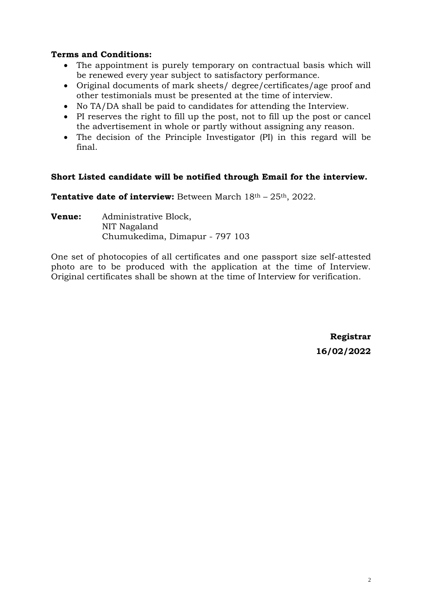## **Terms and Conditions:**

- The appointment is purely temporary on contractual basis which will be renewed every year subject to satisfactory performance.
- Original documents of mark sheets/ degree/certificates/age proof and other testimonials must be presented at the time of interview.
- No TA/DA shall be paid to candidates for attending the Interview.
- PI reserves the right to fill up the post, not to fill up the post or cancel the advertisement in whole or partly without assigning any reason.
- The decision of the Principle Investigator (PI) in this regard will be final.

#### **Short Listed candidate will be notified through Email for the interview.**

**Tentative date of interview:** Between March 18<sup>th</sup> – 25<sup>th</sup>, 2022.

**Venue:** Administrative Block, NIT Nagaland Chumukedima, Dimapur - 797 103

One set of photocopies of all certificates and one passport size self-attested photo are to be produced with the application at the time of Interview. Original certificates shall be shown at the time of Interview for verification.

> **Registrar 16/02/2022**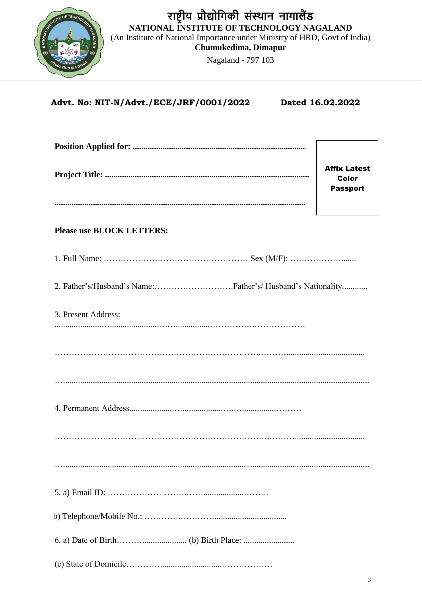

# Advt. No: NIT-N/Advt./ECE/JRF/0001/2022

Dated 16.02.2022

|                                                           | <b>Affix Latest</b><br><b>Color</b><br><b>Passport</b> |  |  |  |  |
|-----------------------------------------------------------|--------------------------------------------------------|--|--|--|--|
|                                                           |                                                        |  |  |  |  |
| <b>Please use BLOCK LETTERS:</b>                          |                                                        |  |  |  |  |
|                                                           |                                                        |  |  |  |  |
| 2. Father's/Husband's Name:Father's/Husband's Nationality |                                                        |  |  |  |  |
| 3. Present Address:                                       |                                                        |  |  |  |  |
|                                                           |                                                        |  |  |  |  |
|                                                           |                                                        |  |  |  |  |
|                                                           |                                                        |  |  |  |  |
|                                                           |                                                        |  |  |  |  |
|                                                           |                                                        |  |  |  |  |
|                                                           |                                                        |  |  |  |  |
|                                                           |                                                        |  |  |  |  |
|                                                           |                                                        |  |  |  |  |
|                                                           |                                                        |  |  |  |  |
|                                                           |                                                        |  |  |  |  |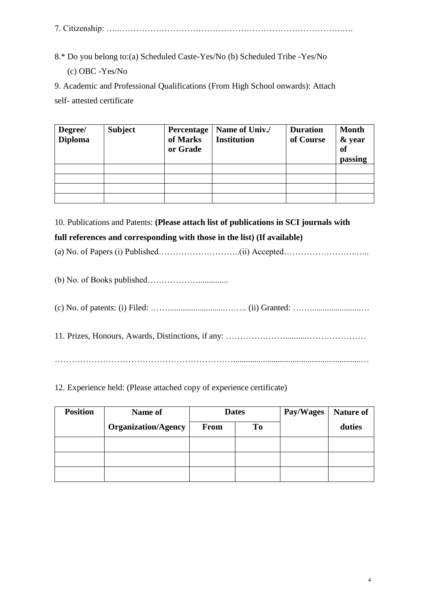7. Citizenship: …..…………………………………………………………………….….

8.\* Do you belong to:(a) Scheduled Caste-Yes/No (b) Scheduled Tribe -Yes/No (c) OBC -Yes/No

9. Academic and Professional Qualifications (From High School onwards): Attach self- attested certificate

| Degree/<br><b>Diploma</b> | Subject | Percentage<br>of Marks<br>or Grade | Name of Univ./<br><b>Institution</b> | <b>Duration</b><br>of Course | <b>Month</b><br>& year<br><b>of</b><br>passing |
|---------------------------|---------|------------------------------------|--------------------------------------|------------------------------|------------------------------------------------|
|                           |         |                                    |                                      |                              |                                                |
|                           |         |                                    |                                      |                              |                                                |
|                           |         |                                    |                                      |                              |                                                |
|                           |         |                                    |                                      |                              |                                                |

10. Publications and Patents: **(Please attach list of publications in SCI journals with** 

## **full references and corresponding with those in the list) (If available)**

(a) No. of Papers (i) Published………………………..(ii) Accepted……………………..…..

(b) No. of Books published………………..............

(c) No. of patents: (i) Filed: ……...........................…….. (ii) Granted: ……........................…

11. Prizes, Honours, Awards, Distinctions, if any: …………………..........…………………

………………………………………………………............................................................…

12. Experience held: (Please attached copy of experience certificate)

| <b>Position</b> | Name of                    | <b>Dates</b> |    | Pay/Wages | <b>Nature of</b> |
|-----------------|----------------------------|--------------|----|-----------|------------------|
|                 | <b>Organization/Agency</b> | <b>From</b>  | To |           | duties           |
|                 |                            |              |    |           |                  |
|                 |                            |              |    |           |                  |
|                 |                            |              |    |           |                  |